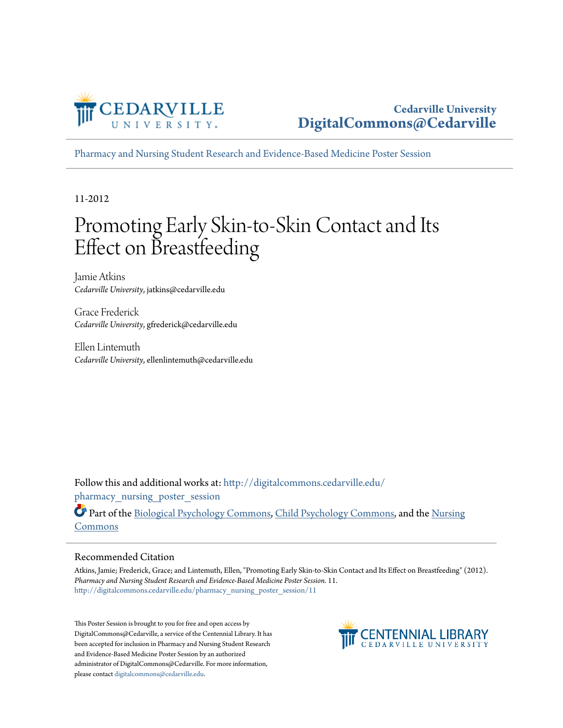

[Pharmacy and Nursing Student Research and Evidence-Based Medicine Poster Session](http://digitalcommons.cedarville.edu/pharmacy_nursing_poster_session?utm_source=digitalcommons.cedarville.edu%2Fpharmacy_nursing_poster_session%2F11&utm_medium=PDF&utm_campaign=PDFCoverPages)

11-2012

#### Promoting Early Skin-to-Skin Contact and Its Effect on Breastfeeding

Jamie Atkins *Cedarville University*, jatkins@cedarville.edu

Grace Frederick *Cedarville University*, gfrederick@cedarville.edu

Ellen Lintemuth *Cedarville University*, ellenlintemuth@cedarville.edu

Follow this and additional works at: [http://digitalcommons.cedarville.edu/](http://digitalcommons.cedarville.edu/pharmacy_nursing_poster_session?utm_source=digitalcommons.cedarville.edu%2Fpharmacy_nursing_poster_session%2F11&utm_medium=PDF&utm_campaign=PDFCoverPages) pharmacy nursing poster session

Part of the [Biological Psychology Commons,](http://network.bepress.com/hgg/discipline/405?utm_source=digitalcommons.cedarville.edu%2Fpharmacy_nursing_poster_session%2F11&utm_medium=PDF&utm_campaign=PDFCoverPages) [Child Psychology Commons,](http://network.bepress.com/hgg/discipline/1023?utm_source=digitalcommons.cedarville.edu%2Fpharmacy_nursing_poster_session%2F11&utm_medium=PDF&utm_campaign=PDFCoverPages) and the [Nursing](http://network.bepress.com/hgg/discipline/718?utm_source=digitalcommons.cedarville.edu%2Fpharmacy_nursing_poster_session%2F11&utm_medium=PDF&utm_campaign=PDFCoverPages) [Commons](http://network.bepress.com/hgg/discipline/718?utm_source=digitalcommons.cedarville.edu%2Fpharmacy_nursing_poster_session%2F11&utm_medium=PDF&utm_campaign=PDFCoverPages)

#### Recommended Citation

Atkins, Jamie; Frederick, Grace; and Lintemuth, Ellen, "Promoting Early Skin-to-Skin Contact and Its Effect on Breastfeeding" (2012). *Pharmacy and Nursing Student Research and Evidence-Based Medicine Poster Session*. 11. [http://digitalcommons.cedarville.edu/pharmacy\\_nursing\\_poster\\_session/11](http://digitalcommons.cedarville.edu/pharmacy_nursing_poster_session/11?utm_source=digitalcommons.cedarville.edu%2Fpharmacy_nursing_poster_session%2F11&utm_medium=PDF&utm_campaign=PDFCoverPages)

This Poster Session is brought to you for free and open access by DigitalCommons@Cedarville, a service of the Centennial Library. It has been accepted for inclusion in Pharmacy and Nursing Student Research and Evidence-Based Medicine Poster Session by an authorized administrator of DigitalCommons@Cedarville. For more information, please contact [digitalcommons@cedarville.edu.](mailto:digitalcommons@cedarville.edu)